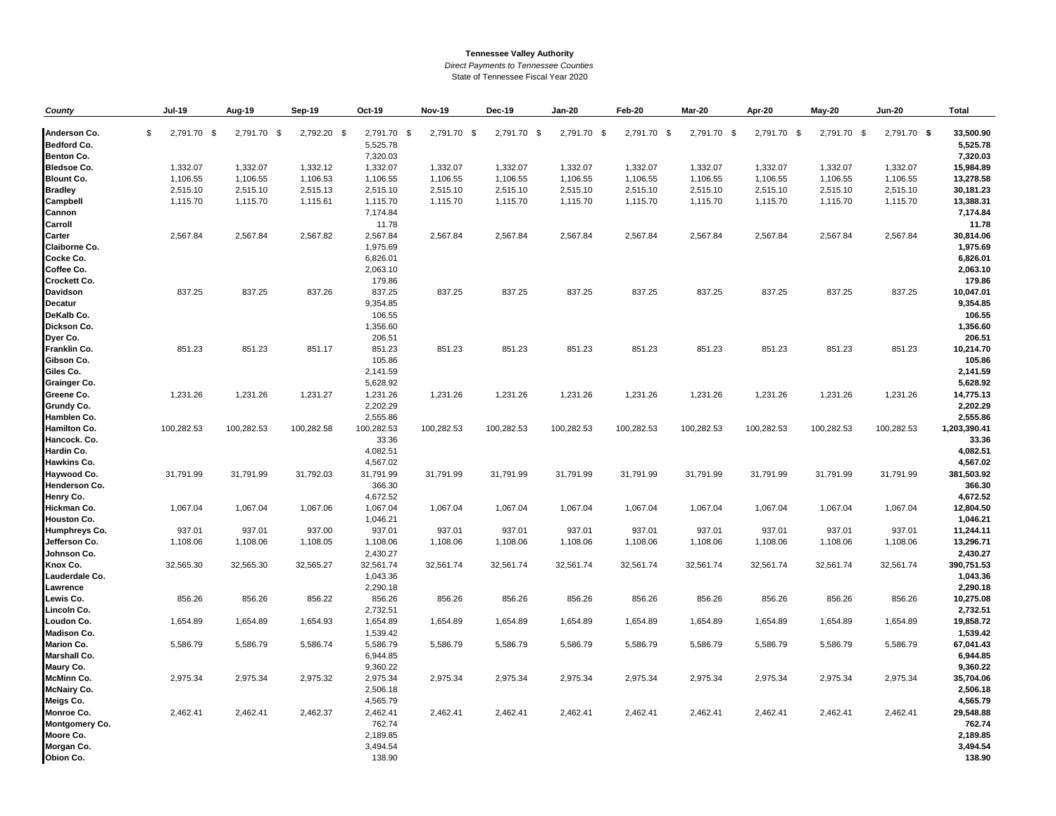## **Tennessee Valley Authority**

*Direct Payments to Tennessee Counties*

State of Tennessee Fiscal Year 2020

| County                | Jul-19            | Aug-19      | <b>Sep-19</b> | Oct-19      | <b>Nov-19</b> | Dec-19      | Jan-20      | Feb-20      | Mar-20      | Apr-20      | May-20      | <b>Jun-20</b> | Total        |
|-----------------------|-------------------|-------------|---------------|-------------|---------------|-------------|-------------|-------------|-------------|-------------|-------------|---------------|--------------|
|                       |                   |             |               |             |               |             |             |             |             |             |             |               |              |
| Anderson Co.          | \$<br>2,791.70 \$ | 2,791.70 \$ | 2,792.20 \$   | 2,791.70 \$ | 2,791.70 \$   | 2,791.70 \$ | 2,791.70 \$ | 2,791.70 \$ | 2,791.70 \$ | 2,791.70 \$ | 2,791.70 \$ | 2,791.70 \$   | 33,500.90    |
| <b>Bedford Co.</b>    |                   |             |               | 5,525.78    |               |             |             |             |             |             |             |               | 5,525.78     |
| <b>Benton Co.</b>     |                   |             |               | 7,320.03    |               |             |             |             |             |             |             |               | 7,320.03     |
| <b>Bledsoe Co.</b>    | 1,332.07          | 1,332.07    | 1,332.12      | 1,332.07    | 1,332.07      | 1,332.07    | 1,332.07    | 1,332.07    | 1,332.07    | 1,332.07    | 1,332.07    | 1,332.07      | 15,984.89    |
| <b>Blount Co.</b>     | 1,106.55          | 1,106.55    | 1,106.53      | 1,106.55    | 1,106.55      | 1,106.55    | 1,106.55    | 1,106.55    | 1,106.55    | 1,106.55    | 1,106.55    | 1,106.55      | 13,278.58    |
| <b>Bradley</b>        | 2,515.10          | 2,515.10    | 2,515.13      | 2,515.10    | 2,515.10      | 2,515.10    | 2,515.10    | 2,515.10    | 2,515.10    | 2,515.10    | 2,515.10    | 2,515.10      | 30,181.23    |
| Campbell              | 1,115.70          | 1,115.70    | 1,115.61      | 1,115.70    | 1,115.70      | 1,115.70    | 1,115.70    | 1,115.70    | 1,115.70    | 1,115.70    | 1,115.70    | 1,115.70      | 13,388.31    |
| Cannon                |                   |             |               | 7,174.84    |               |             |             |             |             |             |             |               | 7,174.84     |
| <b>Carroll</b>        |                   |             |               | 11.78       |               |             |             |             |             |             |             |               | 11.78        |
| <b>Carter</b>         | 2,567.84          | 2,567.84    | 2,567.82      | 2,567.84    | 2,567.84      | 2,567.84    | 2,567.84    | 2,567.84    | 2,567.84    | 2,567.84    | 2,567.84    | 2,567.84      | 30,814.06    |
| <b>Claiborne Co.</b>  |                   |             |               | 1,975.69    |               |             |             |             |             |             |             |               | 1,975.69     |
| Cocke Co.             |                   |             |               | 6,826.01    |               |             |             |             |             |             |             |               | 6,826.01     |
| Coffee Co.            |                   |             |               | 2,063.10    |               |             |             |             |             |             |             |               | 2,063.10     |
| <b>Crockett Co.</b>   |                   |             |               | 179.86      |               |             |             |             |             |             |             |               | 179.86       |
| <b>Davidson</b>       | 837.25            | 837.25      | 837.26        | 837.25      | 837.25        | 837.25      | 837.25      | 837.25      | 837.25      | 837.25      | 837.25      | 837.25        | 10,047.01    |
| <b>Decatur</b>        |                   |             |               | 9,354.85    |               |             |             |             |             |             |             |               | 9,354.85     |
| DeKalb Co.            |                   |             |               | 106.55      |               |             |             |             |             |             |             |               | 106.55       |
| Dickson Co.           |                   |             |               | 1,356.60    |               |             |             |             |             |             |             |               | 1,356.60     |
| Dyer Co.              |                   |             |               | 206.51      |               |             |             |             |             |             |             |               | 206.51       |
| <b>Franklin Co.</b>   | 851.23            | 851.23      | 851.17        | 851.23      | 851.23        | 851.23      | 851.23      | 851.23      | 851.23      | 851.23      | 851.23      | 851.23        | 10,214.70    |
| Gibson Co.            |                   |             |               | 105.86      |               |             |             |             |             |             |             |               | 105.86       |
| Giles Co.             |                   |             |               | 2,141.59    |               |             |             |             |             |             |             |               | 2,141.59     |
| <b>Grainger Co.</b>   |                   |             |               | 5,628.92    |               |             |             |             |             |             |             |               | 5,628.92     |
| Greene Co.            | 1,231.26          | 1,231.26    | 1,231.27      | 1,231.26    | 1,231.26      | 1,231.26    | 1,231.26    | 1,231.26    | 1,231.26    | 1,231.26    | 1,231.26    | 1,231.26      | 14,775.13    |
| <b>Grundy Co.</b>     |                   |             |               | 2,202.29    |               |             |             |             |             |             |             |               | 2,202.29     |
| Hamblen Co.           |                   |             |               | 2,555.86    |               |             |             |             |             |             |             |               | 2,555.86     |
| <b>Hamilton Co.</b>   | 100,282.53        | 100,282.53  | 100,282.58    | 100,282.53  | 100,282.53    | 100,282.53  | 100,282.53  | 100,282.53  | 100,282.53  | 100,282.53  | 100,282.53  | 100,282.53    | 1,203,390.41 |
| Hancock. Co.          |                   |             |               | 33.36       |               |             |             |             |             |             |             |               | 33.36        |
| Hardin Co.            |                   |             |               | 4,082.51    |               |             |             |             |             |             |             |               | 4,082.51     |
| <b>Hawkins Co.</b>    |                   |             |               | 4,567.02    |               |             |             |             |             |             |             |               | 4,567.02     |
| Haywood Co.           | 31,791.99         | 31,791.99   | 31,792.03     | 31,791.99   | 31,791.99     | 31,791.99   | 31,791.99   | 31,791.99   | 31,791.99   | 31,791.99   | 31,791.99   | 31,791.99     | 381,503.92   |
| <b>Henderson Co.</b>  |                   |             |               | 366.30      |               |             |             |             |             |             |             |               | 366.30       |
| Henry Co.             |                   |             |               | 4,672.52    |               |             |             |             |             |             |             |               | 4,672.52     |
| Hickman Co.           | 1,067.04          | 1,067.04    | 1,067.06      | 1,067.04    | 1,067.04      | 1,067.04    | 1,067.04    | 1,067.04    | 1,067.04    | 1,067.04    | 1,067.04    | 1,067.04      | 12,804.50    |
| <b>Houston Co.</b>    |                   |             |               | 1,046.21    |               |             |             |             |             |             |             |               | 1,046.21     |
| <b>Humphreys Co.</b>  | 937.01            | 937.01      | 937.00        | 937.01      | 937.01        | 937.01      | 937.01      | 937.01      | 937.01      | 937.01      | 937.01      | 937.01        | 11,244.11    |
| Jefferson Co.         | 1,108.06          | 1,108.06    | 1,108.05      | 1,108.06    | 1,108.06      | 1,108.06    | 1,108.06    | 1,108.06    | 1,108.06    | 1,108.06    | 1,108.06    | 1,108.06      | 13,296.71    |
| Johnson Co.           |                   |             |               | 2,430.27    |               |             |             |             |             |             |             |               | 2,430.27     |
| Knox Co.              | 32,565.30         | 32,565.30   | 32,565.27     | 32,561.74   | 32,561.74     | 32,561.74   | 32,561.74   | 32,561.74   | 32,561.74   | 32,561.74   | 32,561.74   | 32,561.74     | 390,751.53   |
| Lauderdale Co.        |                   |             |               | 1,043.36    |               |             |             |             |             |             |             |               | 1,043.36     |
| Lawrence              |                   |             |               | 2,290.18    |               |             |             |             |             |             |             |               | 2,290.18     |
| Lewis Co.             | 856.26            | 856.26      | 856.22        | 856.26      | 856.26        | 856.26      | 856.26      | 856.26      | 856.26      | 856.26      | 856.26      | 856.26        | 10,275.08    |
| Lincoln Co.           |                   |             |               | 2,732.51    |               |             |             |             |             |             |             |               | 2,732.51     |
| Loudon Co.            | 1,654.89          | 1,654.89    | 1,654.93      | 1,654.89    | 1,654.89      | 1,654.89    | 1,654.89    | 1,654.89    | 1,654.89    | 1,654.89    | 1,654.89    | 1,654.89      | 19,858.72    |
| <b>Madison Co.</b>    |                   |             |               | 1,539.42    |               |             |             |             |             |             |             |               | 1,539.42     |
| <b>Marion Co.</b>     | 5,586.79          | 5,586.79    | 5,586.74      | 5,586.79    | 5,586.79      | 5,586.79    | 5,586.79    | 5,586.79    | 5,586.79    | 5,586.79    | 5,586.79    | 5,586.79      | 67,041.43    |
| <b>Marshall Co.</b>   |                   |             |               | 6,944.85    |               |             |             |             |             |             |             |               | 6,944.85     |
| Maury Co.             |                   |             |               | 9,360.22    |               |             |             |             |             |             |             |               | 9,360.22     |
| <b>McMinn Co.</b>     | 2,975.34          | 2,975.34    | 2,975.32      | 2,975.34    | 2,975.34      | 2,975.34    | 2,975.34    | 2,975.34    | 2,975.34    | 2,975.34    | 2,975.34    | 2,975.34      | 35,704.06    |
| <b>McNairy Co.</b>    |                   |             |               | 2,506.18    |               |             |             |             |             |             |             |               | 2,506.18     |
| Meigs Co.             |                   |             |               | 4,565.79    |               |             |             |             |             |             |             |               | 4,565.79     |
| <b>Monroe Co.</b>     | 2,462.41          | 2,462.41    | 2,462.37      | 2,462.41    | 2,462.41      | 2,462.41    | 2,462.41    | 2,462.41    | 2,462.41    | 2,462.41    | 2,462.41    | 2,462.41      | 29,548.88    |
| <b>Montgomery Co.</b> |                   |             |               | 762.74      |               |             |             |             |             |             |             |               | 762.74       |
| Moore Co.             |                   |             |               | 2,189.85    |               |             |             |             |             |             |             |               | 2,189.85     |
| Morgan Co.            |                   |             |               | 3,494.54    |               |             |             |             |             |             |             |               | 3,494.54     |
| Obion Co.             |                   |             |               | 138.90      |               |             |             |             |             |             |             |               | 138.90       |
|                       |                   |             |               |             |               |             |             |             |             |             |             |               |              |